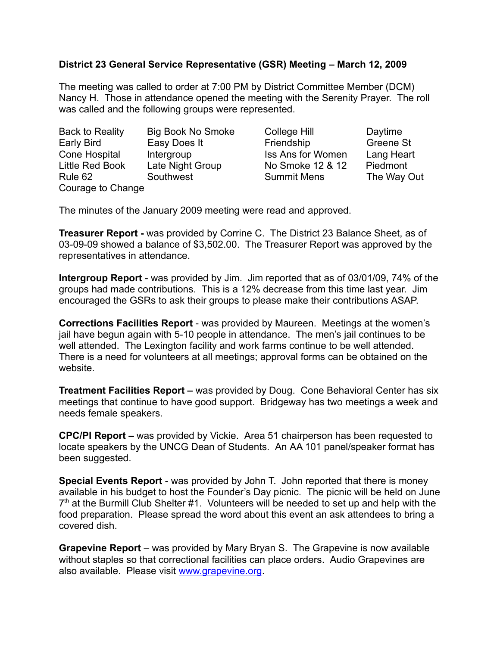## **District 23 General Service Representative (GSR) Meeting – March 12, 2009**

The meeting was called to order at 7:00 PM by District Committee Member (DCM) Nancy H. Those in attendance opened the meeting with the Serenity Prayer. The roll was called and the following groups were represented.

| <b>Back to Reality</b> | <b>Big Book No Smoke</b> | College Hill             | Daytime     |
|------------------------|--------------------------|--------------------------|-------------|
| Early Bird             | Easy Does It             | Friendship               | Greene St   |
| Cone Hospital          | Intergroup               | <b>Iss Ans for Women</b> | Lang Heart  |
| Little Red Book        | Late Night Group         | No Smoke 12 & 12         | Piedmont    |
| Rule 62                | Southwest                | <b>Summit Mens</b>       | The Way Out |
| Courage to Change      |                          |                          |             |

The minutes of the January 2009 meeting were read and approved.

**Treasurer Report -** was provided by Corrine C. The District 23 Balance Sheet, as of 03-09-09 showed a balance of \$3,502.00. The Treasurer Report was approved by the representatives in attendance.

**Intergroup Report** - was provided by Jim. Jim reported that as of 03/01/09, 74% of the groups had made contributions. This is a 12% decrease from this time last year. Jim encouraged the GSRs to ask their groups to please make their contributions ASAP.

**Corrections Facilities Report** - was provided by Maureen. Meetings at the women's jail have begun again with 5-10 people in attendance. The men's jail continues to be well attended. The Lexington facility and work farms continue to be well attended. There is a need for volunteers at all meetings; approval forms can be obtained on the website.

**Treatment Facilities Report –** was provided by Doug. Cone Behavioral Center has six meetings that continue to have good support. Bridgeway has two meetings a week and needs female speakers.

**CPC/PI Report –** was provided by Vickie. Area 51 chairperson has been requested to locate speakers by the UNCG Dean of Students. An AA 101 panel/speaker format has been suggested.

**Special Events Report** - was provided by John T. John reported that there is money available in his budget to host the Founder's Day picnic. The picnic will be held on June  $7<sup>th</sup>$  at the Burmill Club Shelter #1. Volunteers will be needed to set up and help with the food preparation. Please spread the word about this event an ask attendees to bring a covered dish.

**Grapevine Report** – was provided by Mary Bryan S. The Grapevine is now available without staples so that correctional facilities can place orders. Audio Grapevines are also available. Please visit [www.grapevine.org.](http://www.grapevine.org/)